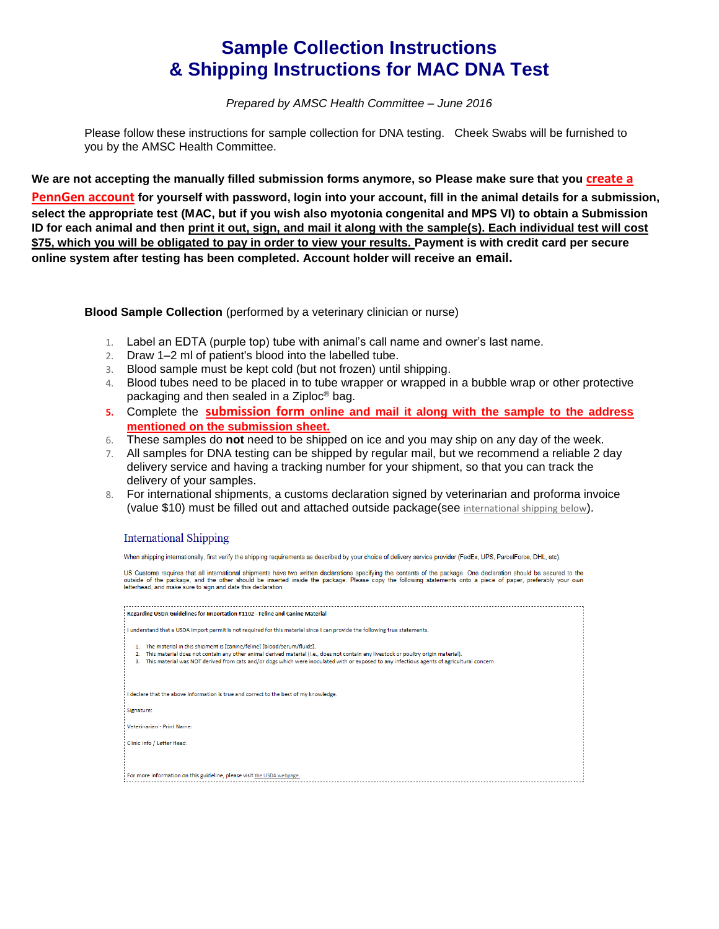## **Sample Collection Instructions & Shipping Instructions for MAC DNA Test**

*Prepared by AMSC Health Committee – June 2016*

Please follow these instructions for sample collection for DNA testing. Cheek Swabs will be furnished to you by the AMSC Health Committee.

**We are not accepting the manually filled submission forms anymore, so Please make sure that you [create a](http://research.vet.upenn.edu/LinkClick.aspx?link=2860&tabid=7606)**

**[PennGen](http://research.vet.upenn.edu/LinkClick.aspx?link=2860&tabid=7606) account for yourself with password, login into your account, fill in the animal details for a submission, select the appropriate test (MAC, but if you wish also myotonia congenital and MPS VI) to obtain a Submission ID for each animal and then print it out, sign, and mail it along with the sample(s). Each individual test will cost \$75, which you will be obligated to pay in order to view your results. Payment is with credit card per secure online system after testing has been completed. Account holder will receive an email.**

**Blood Sample Collection** (performed by a veterinary clinician or nurse)

- 1. Label an EDTA (purple top) tube with animal's call name and owner's last name.
- 2. Draw 1–2 ml of patient's blood into the labelled tube.
- 3. Blood sample must be kept cold (but not frozen) until shipping.
- 4. Blood tubes need to be placed in to tube wrapper or wrapped in a bubble wrap or other protective packaging and then sealed in a Ziploc® bag.
- **5.** Complete the **[submission form](http://research.vet.upenn.edu/LinkClick.aspx?link=2860&tabid=7606) online and mail it along with the sample to the address mentioned on the submission sheet.**
- 6. These samples do **not** need to be shipped on ice and you may ship on any day of the week.
- 7. All samples for DNA testing can be shipped by regular mail, but we recommend a reliable 2 day delivery service and having a tracking number for your shipment, so that you can track the delivery of your samples.
- 8. For international shipments, a customs declaration signed by veterinarian and proforma invoice (value \$10) must be filled out and attached outside package(see [international shipping](http://research.vet.upenn.edu/InstructionsforSampleSubmission/Shipping/InternationalShipping/tabid/7613/Default.aspx) below).

## **International Shipping**

When shipping internationally, first verify the shipping requirements as described by your choice of delivery service provider (FedEx, UPS, ParcelForce, DHL, etc).

US Customs requires that all international shipments have two written declarations specifying the contents of the package. One declaration should be secured to the outside of the package, and the other should be inserted i

| Regarding USDA Guidelines for Importation #1102 - Feline and Canine Material                                                                                                                                                                                                                                                                                            |
|-------------------------------------------------------------------------------------------------------------------------------------------------------------------------------------------------------------------------------------------------------------------------------------------------------------------------------------------------------------------------|
| I understand that a USDA import permit is not required for this material since I can provide the following true statements.                                                                                                                                                                                                                                             |
| The material in this shipment is [canine/feline] [blood/serum/fluids].<br>This material does not contain any other animal derived material (i.e., does not contain any livestock or poultry origin material).<br>2<br>This material was NOT derived from cats and/or dogs which were inoculated with or exposed to any infectious agents of agricultural concern.<br>з. |
| I declare that the above information is true and correct to the best of my knowledge.                                                                                                                                                                                                                                                                                   |
| Signature:                                                                                                                                                                                                                                                                                                                                                              |
| Veterinarian - Print Name:                                                                                                                                                                                                                                                                                                                                              |
| Clinic Info / Letter Head:                                                                                                                                                                                                                                                                                                                                              |
|                                                                                                                                                                                                                                                                                                                                                                         |
| For more information on this guideline, please visit the USDA webpage.                                                                                                                                                                                                                                                                                                  |
|                                                                                                                                                                                                                                                                                                                                                                         |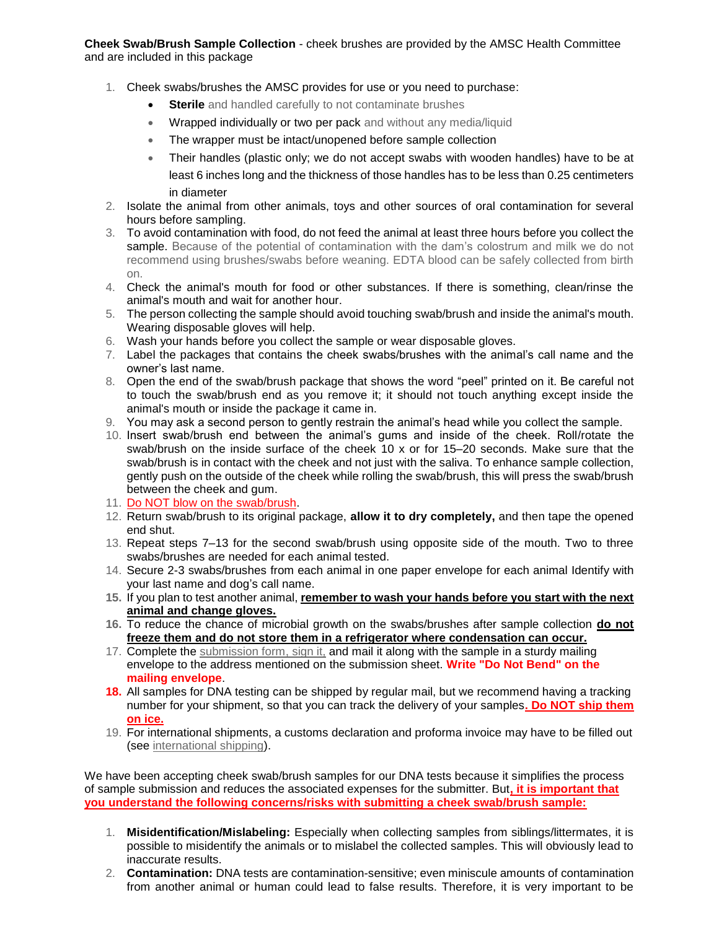**Cheek Swab/Brush Sample Collection** - cheek brushes are provided by the AMSC Health Committee and are included in this package

- 1. Cheek swabs/brushes the AMSC provides for use or you need to purchase:
	- **Sterile** and handled carefully to not contaminate brushes
	- **Wrapped individually or two per pack** and without any media/liquid
	- The wrapper must be intact/unopened before sample collection
	- Their handles (plastic only; we do not accept swabs with wooden handles) have to be at least 6 inches long and the thickness of those handles has to be less than 0.25 centimeters in diameter
- 2. Isolate the animal from other animals, toys and other sources of oral contamination for several hours before sampling.
- 3. To avoid contamination with food, do not feed the animal at least three hours before you collect the sample. Because of the potential of contamination with the dam's colostrum and milk we do not recommend using brushes/swabs before weaning. EDTA blood can be safely collected from birth on.
- 4. Check the animal's mouth for food or other substances. If there is something, clean/rinse the animal's mouth and wait for another hour.
- 5. The person collecting the sample should avoid touching swab/brush and inside the animal's mouth. Wearing disposable gloves will help.
- 6. Wash your hands before you collect the sample or wear disposable gloves.
- 7. Label the packages that contains the cheek swabs/brushes with the animal's call name and the owner's last name.
- 8. Open the end of the swab/brush package that shows the word "peel" printed on it. Be careful not to touch the swab/brush end as you remove it; it should not touch anything except inside the animal's mouth or inside the package it came in.
- 9. You may ask a second person to gently restrain the animal's head while you collect the sample.
- 10. Insert swab/brush end between the animal's gums and inside of the cheek. Roll/rotate the swab/brush on the inside surface of the cheek 10 x or for 15–20 seconds. Make sure that the swab/brush is in contact with the cheek and not just with the saliva. To enhance sample collection, gently push on the outside of the cheek while rolling the swab/brush, this will press the swab/brush between the cheek and gum.
- 11. Do NOT blow on the swab/brush.
- 12. Return swab/brush to its original package, **allow it to dry completely,** and then tape the opened end shut.
- 13. Repeat steps 7–13 for the second swab/brush using opposite side of the mouth. Two to three swabs/brushes are needed for each animal tested.
- 14. Secure 2-3 swabs/brushes from each animal in one paper envelope for each animal Identify with your last name and dog's call name.
- **15.** If you plan to test another animal, **remember to wash your hands before you start with the next animal and change gloves.**
- **16.** To reduce the chance of microbial growth on the swabs/brushes after sample collection **do not freeze them and do not store them in a refrigerator where condensation can occur.**
- 17. Complete the [submission form,](http://research.vet.upenn.edu/LinkClick.aspx?link=2860&tabid=7606) sign it, and mail it along with the sample in a sturdy mailing envelope to the address mentioned on the submission sheet. **Write "Do Not Bend" on the mailing envelope**.
- **18.** All samples for DNA testing can be shipped by regular mail, but we recommend having a tracking number for your shipment, so that you can track the delivery of your samples**. Do NOT ship them on ice.**
- 19. For international shipments, a customs declaration and proforma invoice may have to be filled out (see [international shipping\)](http://research.vet.upenn.edu/InstructionsforSampleSubmission/Shipping/InternationalShipping/tabid/7613/Default.aspx).

We have been accepting cheek swab/brush samples for our DNA tests because it simplifies the process of sample submission and reduces the associated expenses for the submitter. But**, it is important that you understand the following concerns/risks with submitting a cheek swab/brush sample:**

- 1. **Misidentification/Mislabeling:** Especially when collecting samples from siblings/littermates, it is possible to misidentify the animals or to mislabel the collected samples. This will obviously lead to inaccurate results.
- 2. **Contamination:** DNA tests are contamination-sensitive; even miniscule amounts of contamination from another animal or human could lead to false results. Therefore, it is very important to be